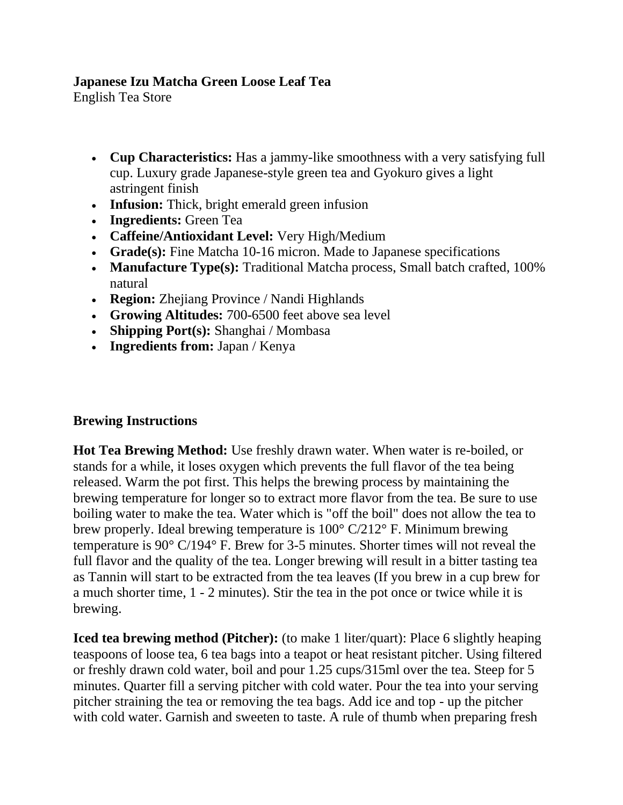## **Japanese Izu Matcha Green Loose Leaf Tea**

English Tea Store

- **Cup Characteristics:** Has a jammy-like smoothness with a very satisfying full cup. Luxury grade Japanese-style green tea and Gyokuro gives a light astringent finish
- **Infusion:** Thick, bright emerald green infusion
- **Ingredients:** Green Tea
- **Caffeine/Antioxidant Level:** Very High/Medium
- **Grade(s):** Fine Matcha 10-16 micron. Made to Japanese specifications
- **Manufacture Type(s):** Traditional Matcha process, Small batch crafted, 100% natural
- **Region:** Zhejiang Province / Nandi Highlands
- **Growing Altitudes:** 700-6500 feet above sea level
- **Shipping Port(s):** Shanghai / Mombasa
- **Ingredients from:** Japan / Kenya

## **Brewing Instructions**

**Hot Tea Brewing Method:** Use freshly drawn water. When water is re-boiled, or stands for a while, it loses oxygen which prevents the full flavor of the tea being released. Warm the pot first. This helps the brewing process by maintaining the brewing temperature for longer so to extract more flavor from the tea. Be sure to use boiling water to make the tea. Water which is "off the boil" does not allow the tea to brew properly. Ideal brewing temperature is 100° C/212° F. Minimum brewing temperature is 90° C/194° F. Brew for 3-5 minutes. Shorter times will not reveal the full flavor and the quality of the tea. Longer brewing will result in a bitter tasting tea as Tannin will start to be extracted from the tea leaves (If you brew in a cup brew for a much shorter time, 1 - 2 minutes). Stir the tea in the pot once or twice while it is brewing.

**Iced tea brewing method (Pitcher):** (to make 1 liter/quart): Place 6 slightly heaping teaspoons of loose tea, 6 tea bags into a teapot or heat resistant pitcher. Using filtered or freshly drawn cold water, boil and pour 1.25 cups/315ml over the tea. Steep for 5 minutes. Quarter fill a serving pitcher with cold water. Pour the tea into your serving pitcher straining the tea or removing the tea bags. Add ice and top - up the pitcher with cold water. Garnish and sweeten to taste. A rule of thumb when preparing fresh